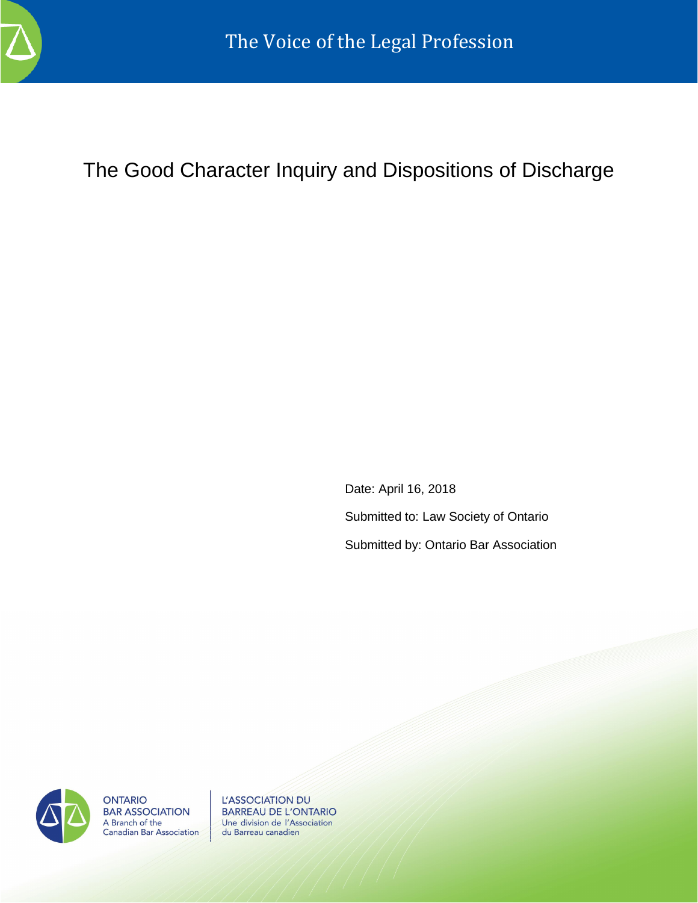

The Good Character Inquiry and Dispositions of Discharge

Date: April 16, 2018 Submitted to: Law Society of Ontario Submitted by: Ontario Bar Association



**ONTARIO BAR ASSOCIATION** A Branch of the<br>Canadian Bar Association

L'ASSOCIATION DU **BARREAU DE L'ONTARIO** Une division de l'Association du Barreau canadien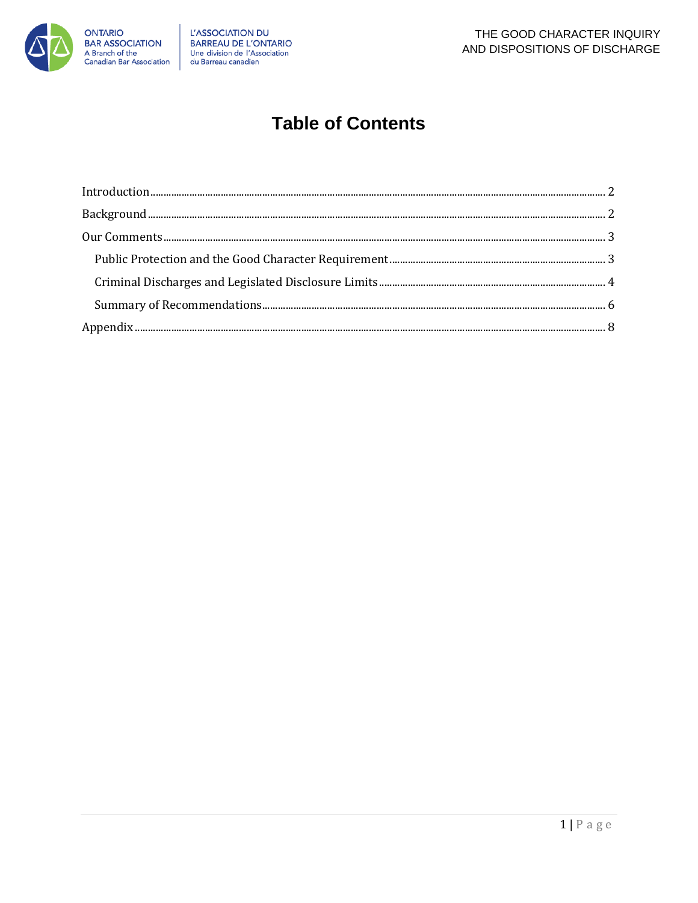

## **Table of Contents**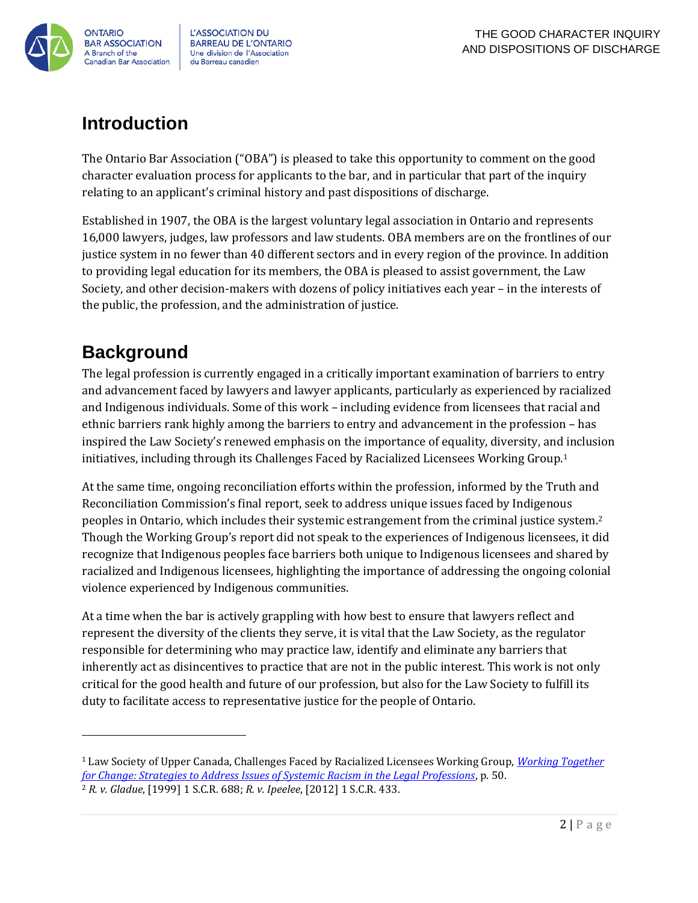

**L'ASSOCIATION DU BARREAU DE L'ONTARIO** Une division de l'Association du Barreau canadien

### <span id="page-2-0"></span>**Introduction**

The Ontario Bar Association ("OBA") is pleased to take this opportunity to comment on the good character evaluation process for applicants to the bar, and in particular that part of the inquiry relating to an applicant's criminal history and past dispositions of discharge.

Established in 1907, the OBA is the largest voluntary legal association in Ontario and represents 16,000 lawyers, judges, law professors and law students. OBA members are on the frontlines of our justice system in no fewer than 40 different sectors and in every region of the province. In addition to providing legal education for its members, the OBA is pleased to assist government, the Law Society, and other decision-makers with dozens of policy initiatives each year – in the interests of the public, the profession, and the administration of justice.

### <span id="page-2-1"></span>**Background**

 $\overline{a}$ 

The legal profession is currently engaged in a critically important examination of barriers to entry and advancement faced by lawyers and lawyer applicants, particularly as experienced by racialized and Indigenous individuals. Some of this work – including evidence from licensees that racial and ethnic barriers rank highly among the barriers to entry and advancement in the profession – has inspired the Law Society's renewed emphasis on the importance of equality, diversity, and inclusion initiatives, including through its Challenges Faced by Racialized Licensees Working Group.<sup>1</sup>

At the same time, ongoing reconciliation efforts within the profession, informed by the Truth and Reconciliation Commission's final report, seek to address unique issues faced by Indigenous peoples in Ontario, which includes their systemic estrangement from the criminal justice system.<sup>2</sup> Though the Working Group's report did not speak to the experiences of Indigenous licensees, it did recognize that Indigenous peoples face barriers both unique to Indigenous licensees and shared by racialized and Indigenous licensees, highlighting the importance of addressing the ongoing colonial violence experienced by Indigenous communities.

At a time when the bar is actively grappling with how best to ensure that lawyers reflect and represent the diversity of the clients they serve, it is vital that the Law Society, as the regulator responsible for determining who may practice law, identify and eliminate any barriers that inherently act as disincentives to practice that are not in the public interest. This work is not only critical for the good health and future of our profession, but also for the Law Society to fulfill its duty to facilitate access to representative justice for the people of Ontario.

<sup>1</sup> Law Society of Upper Canada, Challenges Faced by Racialized Licensees Working Group, *[Working Together](http://www.lsuc.on.ca/uploadedFiles/Equity_and_Diversity/Members/Challenges_for_Racialized_Licensees/Working-Together-For-Change-Final-Report-Updated.pdf)  [for Change: Strategies to Address Issues of Systemic Racism in the Legal Professions](http://www.lsuc.on.ca/uploadedFiles/Equity_and_Diversity/Members/Challenges_for_Racialized_Licensees/Working-Together-For-Change-Final-Report-Updated.pdf)*, p. 50. <sup>2</sup> *R. v. Gladue*, [1999] 1 S.C.R. 688; *R. v. Ipeelee*, [2012] 1 S.C.R. 433.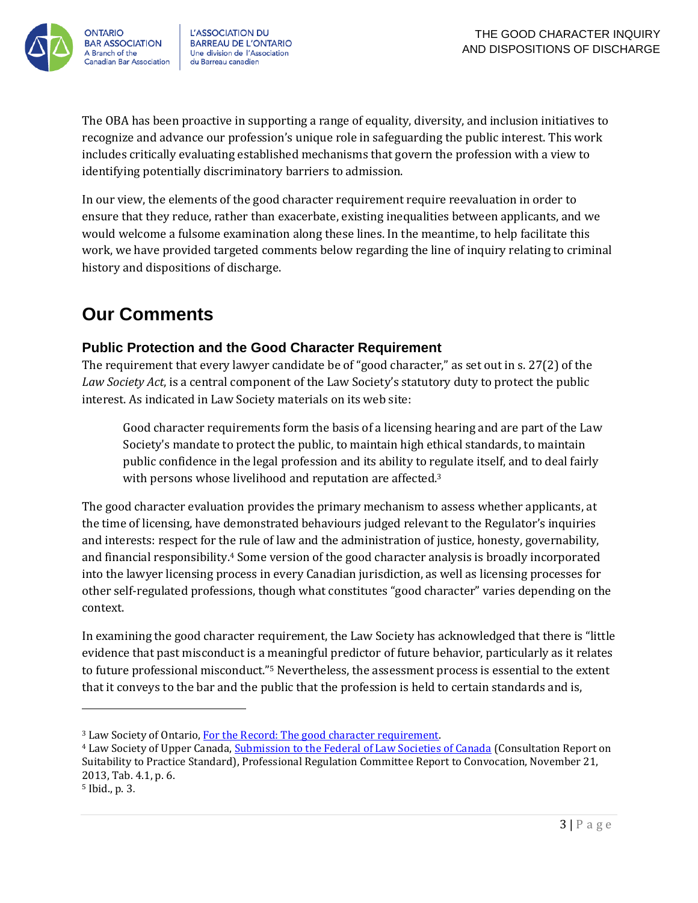

L'ASSOCIATION DU **BARREAU DE L'ONTARIO** Une division de l'Association du Barreau canadien

The OBA has been proactive in supporting a range of equality, diversity, and inclusion initiatives to recognize and advance our profession's unique role in safeguarding the public interest. This work includes critically evaluating established mechanisms that govern the profession with a view to identifying potentially discriminatory barriers to admission.

In our view, the elements of the good character requirement require reevaluation in order to ensure that they reduce, rather than exacerbate, existing inequalities between applicants, and we would welcome a fulsome examination along these lines. In the meantime, to help facilitate this work, we have provided targeted comments below regarding the line of inquiry relating to criminal history and dispositions of discharge.

### <span id="page-3-0"></span>**Our Comments**

#### <span id="page-3-1"></span>**Public Protection and the Good Character Requirement**

The requirement that every lawyer candidate be of "good character," as set out in s. 27(2) of the *Law Society Act*, is a central component of the Law Society's statutory duty to protect the public interest. As indicated in Law Society materials on its web site:

Good character requirements form the basis of a licensing hearing and are part of the Law Society's mandate to protect the public, to maintain high ethical standards, to maintain public confidence in the legal profession and its ability to regulate itself, and to deal fairly with persons whose livelihood and reputation are affected.<sup>3</sup>

The good character evaluation provides the primary mechanism to assess whether applicants, at the time of licensing, have demonstrated behaviours judged relevant to the Regulator's inquiries and interests: respect for the rule of law and the administration of justice, honesty, governability, and financial responsibility.<sup>4</sup> Some version of the good character analysis is broadly incorporated into the lawyer licensing process in every Canadian jurisdiction, as well as licensing processes for other self-regulated professions, though what constitutes "good character" varies depending on the context.

In examining the good character requirement, the Law Society has acknowledged that there is "little evidence that past misconduct is a meaningful predictor of future behavior, particularly as it relates to future professional misconduct."<sup>5</sup> Nevertheless, the assessment process is essential to the extent that it conveys to the bar and the public that the profession is held to certain standards and is,

l

<sup>3</sup> Law Society of Ontario[, For the Record: The good character requirement.](https://www.lsuc.on.ca/with.aspx?id=2147495479)

<sup>&</sup>lt;sup>4</sup> Law Society of Upper Canada, [Submission to the Federal of Law Societies of Canada](https://www.lsuc.on.ca/uploadedFiles/For_the_Public/About_the_Law_Society/Convocation_Decisions/2013/convnov2013_PRC.pdf) (Consultation Report on Suitability to Practice Standard), Professional Regulation Committee Report to Convocation, November 21, 2013, Tab. 4.1, p. 6.

<sup>5</sup> Ibid., p. 3.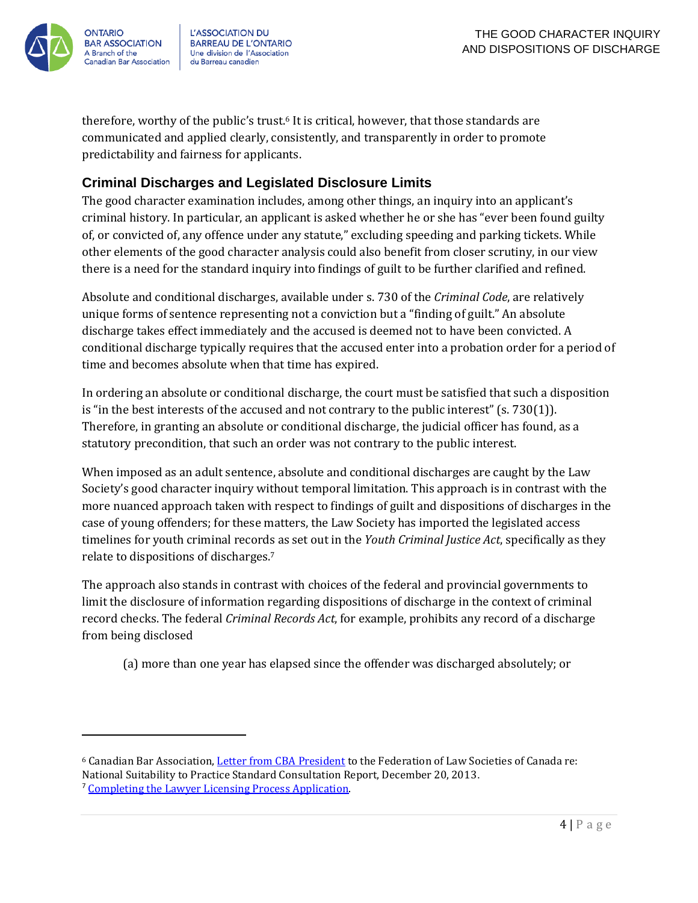

l

L'ASSOCIATION DU **BARREAU DE L'ONTARIO** Une division de l'Association du Barreau canadien

therefore, worthy of the public's trust.<sup>6</sup> It is critical, however, that those standards are communicated and applied clearly, consistently, and transparently in order to promote predictability and fairness for applicants.

#### <span id="page-4-0"></span>**Criminal Discharges and Legislated Disclosure Limits**

The good character examination includes, among other things, an inquiry into an applicant's criminal history. In particular, an applicant is asked whether he or she has "ever been found guilty of, or convicted of, any offence under any statute," excluding speeding and parking tickets. While other elements of the good character analysis could also benefit from closer scrutiny, in our view there is a need for the standard inquiry into findings of guilt to be further clarified and refined.

Absolute and conditional discharges, available under s. 730 of the *Criminal Code*, are relatively unique forms of sentence representing not a conviction but a "finding of guilt." An absolute discharge takes effect immediately and the accused is deemed not to have been convicted. A conditional discharge typically requires that the accused enter into a probation order for a period of time and becomes absolute when that time has expired.

In ordering an absolute or conditional discharge, the court must be satisfied that such a disposition is "in the best interests of the accused and not contrary to the public interest" (s. 730(1)). Therefore, in granting an absolute or conditional discharge, the judicial officer has found, as a statutory precondition, that such an order was not contrary to the public interest.

When imposed as an adult sentence, absolute and conditional discharges are caught by the Law Society's good character inquiry without temporal limitation. This approach is in contrast with the more nuanced approach taken with respect to findings of guilt and dispositions of discharges in the case of young offenders; for these matters, the Law Society has imported the legislated access timelines for youth criminal records as set out in the *Youth Criminal Justice Act*, specifically as they relate to dispositions of discharges.<sup>7</sup>

The approach also stands in contrast with choices of the federal and provincial governments to limit the disclosure of information regarding dispositions of discharge in the context of criminal record checks. The federal *Criminal Records Act*, for example, prohibits any record of a discharge from being disclosed

(a) more than one year has elapsed since the offender was discharged absolutely; or

<sup>6</sup> Canadian Bar Association[, Letter from CBA President](https://www.cba.org/CMSPages/GetFile.aspx?guid=c0c0d067-09ca-444b-b6a3-6cfbf4315ec2) to the Federation of Law Societies of Canada re: National Suitability to Practice Standard Consultation Report, December 20, 2013.

<sup>7</sup> [Completing the Lawyer Licensing Process Application.](http://www.lsuc.on.ca/licensingprocess.aspx?id=2147495567&langtype=1033#Good_Character_Section)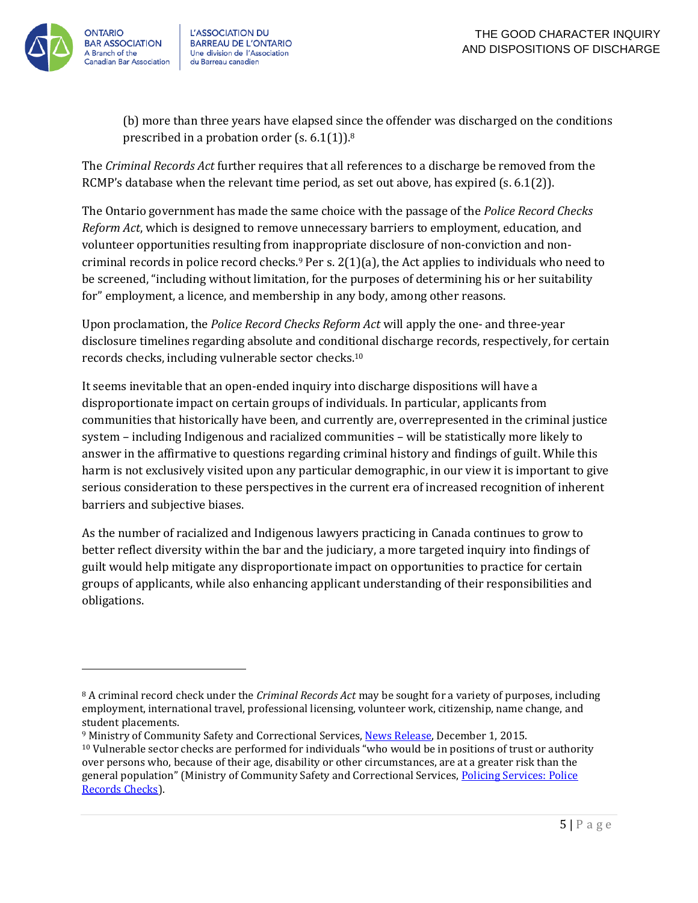



 $\overline{a}$ 

L'ASSOCIATION DU **BARREAU DE L'ONTARIO** Une division de l'Association du Barreau canadien

(b) more than three years have elapsed since the offender was discharged on the conditions prescribed in a probation order (s.  $6.1(1)$ ).<sup>8</sup>

The *Criminal Records Act* further requires that all references to a discharge be removed from the RCMP's database when the relevant time period, as set out above, has expired (s. 6.1(2)).

The Ontario government has made the same choice with the passage of the *Police Record Checks Reform Act*, which is designed to remove unnecessary barriers to employment, education, and volunteer opportunities resulting from inappropriate disclosure of non-conviction and noncriminal records in police record checks.<sup>9</sup> Per s.  $2(1)(a)$ , the Act applies to individuals who need to be screened, "including without limitation, for the purposes of determining his or her suitability for" employment, a licence, and membership in any body, among other reasons.

Upon proclamation, the *Police Record Checks Reform Act* will apply the one- and three-year disclosure timelines regarding absolute and conditional discharge records, respectively, for certain records checks, including vulnerable sector checks.<sup>10</sup>

It seems inevitable that an open-ended inquiry into discharge dispositions will have a disproportionate impact on certain groups of individuals. In particular, applicants from communities that historically have been, and currently are, overrepresented in the criminal justice system – including Indigenous and racialized communities – will be statistically more likely to answer in the affirmative to questions regarding criminal history and findings of guilt. While this harm is not exclusively visited upon any particular demographic, in our view it is important to give serious consideration to these perspectives in the current era of increased recognition of inherent barriers and subjective biases.

As the number of racialized and Indigenous lawyers practicing in Canada continues to grow to better reflect diversity within the bar and the judiciary, a more targeted inquiry into findings of guilt would help mitigate any disproportionate impact on opportunities to practice for certain groups of applicants, while also enhancing applicant understanding of their responsibilities and obligations.

<sup>8</sup> A criminal record check under the *Criminal Records Act* may be sought for a variety of purposes, including employment, international travel, professional licensing, volunteer work, citizenship, name change, and student placements.

<sup>9</sup> Ministry of Community Safety and Correctional Services, [News Release,](https://news.ontario.ca/mcscs/en/2015/12/ontario-passes-police-record-checks-legislation.html) December 1, 2015. <sup>10</sup> Vulnerable sector checks are performed for individuals "who would be in positions of trust or authority over persons who, because of their age, disability or other circumstances, are at a greater risk than the general population" (Ministry of Community Safety and Correctional Services, Policing Services: Police [Records Checks\)](https://www.mcscs.jus.gov.on.ca/english/police_serv/PoliceRecordsChecks/PS_records_checks.html).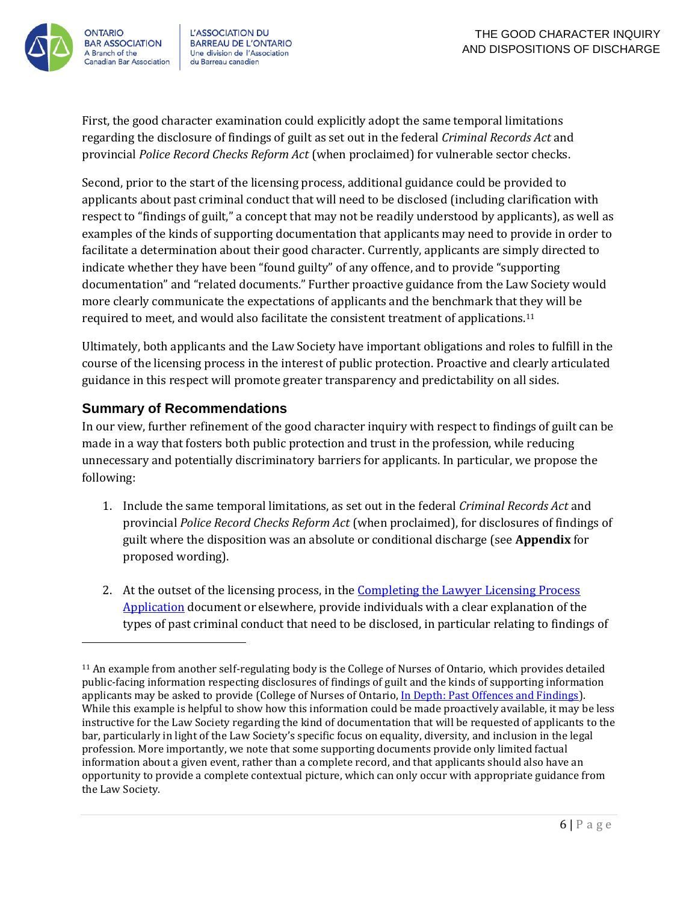

l

L'ASSOCIATION DU **BARREAU DE L'ONTARIO** Une division de l'Association du Barreau canadien

First, the good character examination could explicitly adopt the same temporal limitations regarding the disclosure of findings of guilt as set out in the federal *Criminal Records Act* and provincial *Police Record Checks Reform Act* (when proclaimed) for vulnerable sector checks.

Second, prior to the start of the licensing process, additional guidance could be provided to applicants about past criminal conduct that will need to be disclosed (including clarification with respect to "findings of guilt," a concept that may not be readily understood by applicants), as well as examples of the kinds of supporting documentation that applicants may need to provide in order to facilitate a determination about their good character. Currently, applicants are simply directed to indicate whether they have been "found guilty" of any offence, and to provide "supporting documentation" and "related documents." Further proactive guidance from the Law Society would more clearly communicate the expectations of applicants and the benchmark that they will be required to meet, and would also facilitate the consistent treatment of applications.<sup>11</sup>

Ultimately, both applicants and the Law Society have important obligations and roles to fulfill in the course of the licensing process in the interest of public protection. Proactive and clearly articulated guidance in this respect will promote greater transparency and predictability on all sides.

#### <span id="page-6-0"></span>**Summary of Recommendations**

In our view, further refinement of the good character inquiry with respect to findings of guilt can be made in a way that fosters both public protection and trust in the profession, while reducing unnecessary and potentially discriminatory barriers for applicants. In particular, we propose the following:

- 1. Include the same temporal limitations, as set out in the federal *Criminal Records Act* and provincial *Police Record Checks Reform Act* (when proclaimed), for disclosures of findings of guilt where the disposition was an absolute or conditional discharge (see **Appendix** for proposed wording).
- 2. At the outset of the licensing process, in the [Completing the Lawyer Licensing Process](http://www.lsuc.on.ca/licensingprocess.aspx?id=2147495567&langtype=1033#Good_Character_Section)  [Application](http://www.lsuc.on.ca/licensingprocess.aspx?id=2147495567&langtype=1033#Good_Character_Section) document or elsewhere, provide individuals with a clear explanation of the types of past criminal conduct that need to be disclosed, in particular relating to findings of

<sup>11</sup> An example from another self-regulating body is the College of Nurses of Ontario, which provides detailed public-facing information respecting disclosures of findings of guilt and the kinds of supporting information applicants may be asked to provide (College of Nurses of Ontario, [In Depth: Past Offences and Findings\)](http://www.cno.org/en/become-a-nurse/registration-requirements/past-offences-and-findings--health-and-conduct/past-offences-and-findings/in-depth-past-offences-and-findings/). While this example is helpful to show how this information could be made proactively available, it may be less instructive for the Law Society regarding the kind of documentation that will be requested of applicants to the bar, particularly in light of the Law Society's specific focus on equality, diversity, and inclusion in the legal profession. More importantly, we note that some supporting documents provide only limited factual information about a given event, rather than a complete record, and that applicants should also have an opportunity to provide a complete contextual picture, which can only occur with appropriate guidance from the Law Society.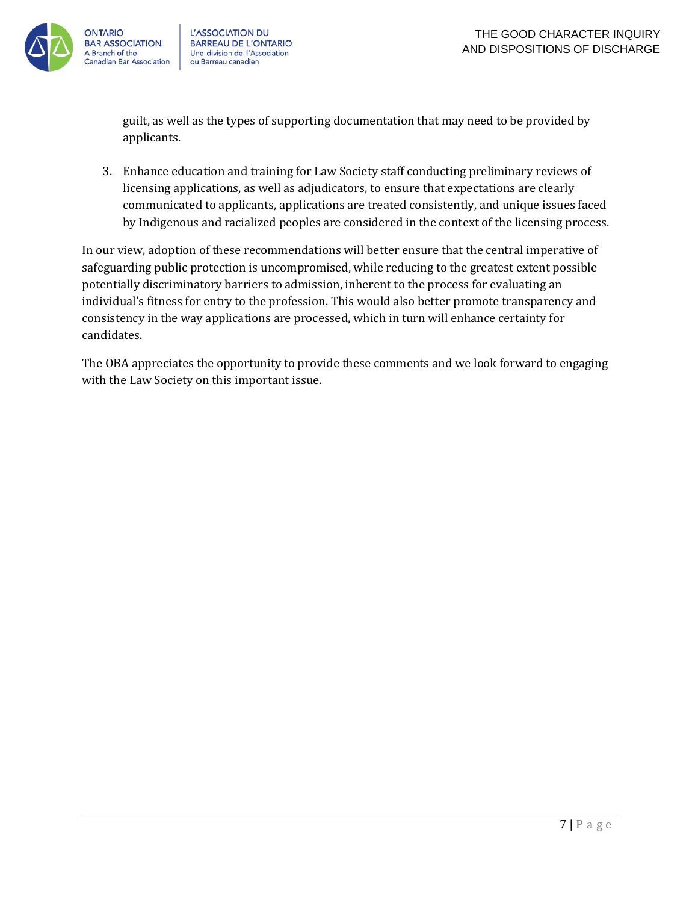

guilt, as well as the types of supporting documentation that may need to be provided by applicants.

3. Enhance education and training for Law Society staff conducting preliminary reviews of licensing applications, as well as adjudicators, to ensure that expectations are clearly communicated to applicants, applications are treated consistently, and unique issues faced by Indigenous and racialized peoples are considered in the context of the licensing process.

In our view, adoption of these recommendations will better ensure that the central imperative of safeguarding public protection is uncompromised, while reducing to the greatest extent possible potentially discriminatory barriers to admission, inherent to the process for evaluating an individual's fitness for entry to the profession. This would also better promote transparency and consistency in the way applications are processed, which in turn will enhance certainty for candidates.

The OBA appreciates the opportunity to provide these comments and we look forward to engaging with the Law Society on this important issue.